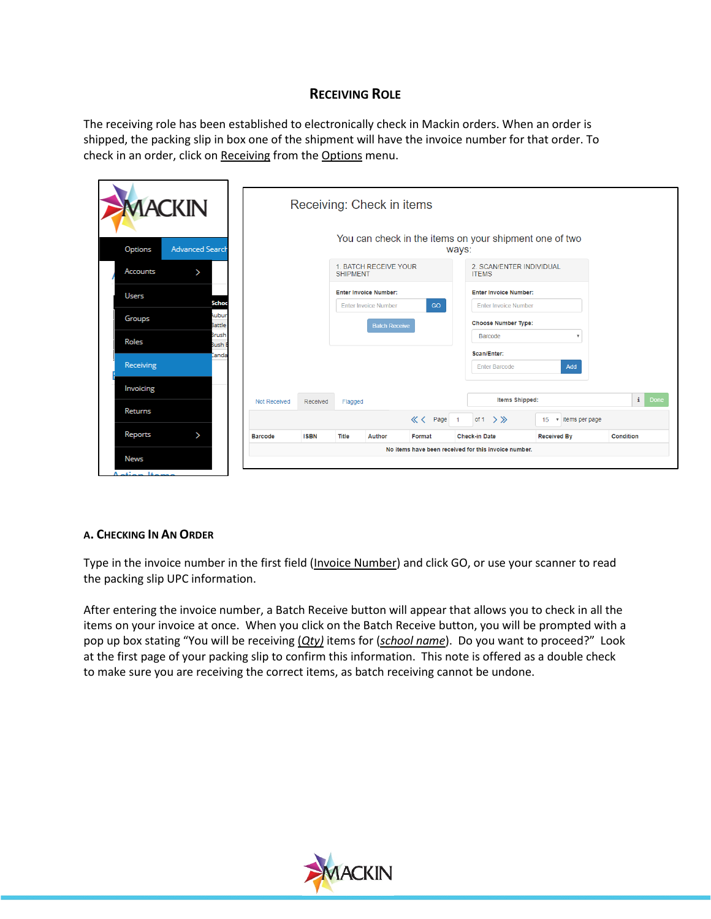## **RECEIVING ROLE**

The receiving role has been established to electronically check in Mackin orders. When an order is shipped, the packing slip in box one of the shipment will have the invoice number for that order. To check in an order, click on Receiving from the Options menu.

| <b>MACKIN</b>                     |                     |             |                 | Receiving: Check in items    |          |                      |                              |                                                        |                  |
|-----------------------------------|---------------------|-------------|-----------------|------------------------------|----------|----------------------|------------------------------|--------------------------------------------------------|------------------|
| <b>Advanced Search</b><br>Options |                     |             |                 |                              |          | ways:                |                              | You can check in the items on your shipment one of two |                  |
| Accounts<br>>                     |                     |             | <b>SHIPMENT</b> | 1. BATCH RECEIVE YOUR        |          | <b>ITFMS</b>         | 2. SCAN/ENTER INDIVIDUAL     |                                                        |                  |
| Users                             |                     |             |                 | <b>Enter Invoice Number:</b> |          |                      | <b>Enter Invoice Number:</b> |                                                        |                  |
| Schoo                             |                     |             |                 | <b>Enter Invoice Number</b>  | GO       |                      | <b>Enter Invoice Number</b>  |                                                        |                  |
| Aubur<br>Groups<br>Battle         |                     |             |                 | <b>Batch Receive</b>         |          |                      | <b>Choose Number Type:</b>   |                                                        |                  |
| Brush<br>Roles<br><b>Bush E</b>   |                     |             |                 |                              |          | Barcode              |                              | $\boldsymbol{\mathrm{v}}$                              |                  |
| Ianda                             |                     |             |                 |                              |          | Scan/Enter:          |                              |                                                        |                  |
| Receiving                         |                     |             |                 |                              |          |                      | <b>Enter Barcode</b>         | Add                                                    |                  |
| Invoicing                         |                     |             |                 |                              |          |                      |                              |                                                        |                  |
|                                   | <b>Not Received</b> | Received    | Flagged         |                              |          |                      | Items Shipped:               |                                                        | i.<br>Done       |
| <b>Returns</b>                    |                     |             |                 |                              | « < Page | of 1                 | $\rightarrow \gg$            | v items per page<br>15                                 |                  |
|                                   |                     | <b>ISBN</b> | Title           | <b>Author</b>                | Format   | <b>Check-in Date</b> |                              | <b>Received By</b>                                     | <b>Condition</b> |

## **A. CHECKING IN AN ORDER**

Type in the invoice number in the first field (Invoice Number) and click GO, or use your scanner to read the packing slip UPC information.

After entering the invoice number, a Batch Receive button will appear that allows you to check in all the items on your invoice at once. When you click on the Batch Receive button, you will be prompted with a pop up box stating "You will be receiving (*Qty)* items for (*school name*). Do you want to proceed?" Look at the first page of your packing slip to confirm this information. This note is offered as a double check to make sure you are receiving the correct items, as batch receiving cannot be undone.

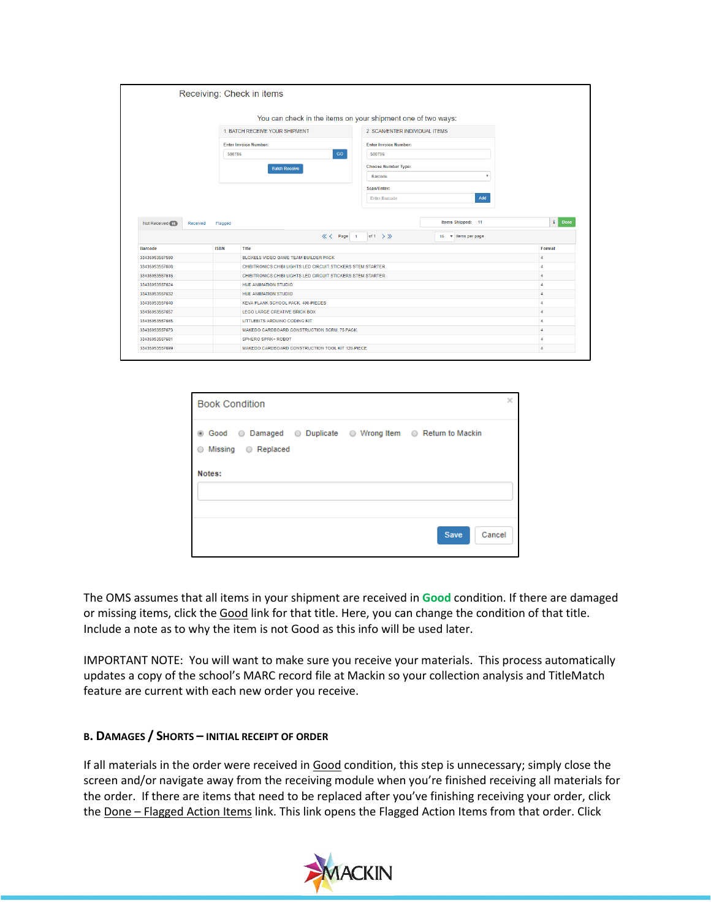|                              |             | Receiving: Check in items                                   |                                                              |                          |
|------------------------------|-------------|-------------------------------------------------------------|--------------------------------------------------------------|--------------------------|
|                              |             |                                                             | You can check in the items on your shipment one of two ways: |                          |
|                              |             | 1. BATCH RECEIVE YOUR SHIPMENT                              | 2. SCAN/ENTER INDIVIDUAL ITEMS                               |                          |
|                              |             | <b>Enter Invoice Number:</b>                                | <b>Enter Invoice Number:</b>                                 |                          |
|                              | 500706      | GO                                                          | 500706                                                       |                          |
|                              |             | <b>Batch Receive</b>                                        | <b>Choose Number Type:</b>                                   |                          |
|                              |             |                                                             | $\overline{\mathbf v}$<br>Barcode                            |                          |
|                              |             |                                                             | Scan/Enter:                                                  |                          |
|                              |             |                                                             | Add<br><b>Enter Barcode</b>                                  |                          |
| Not Received (1)<br>Received | Flagged     |                                                             | Items Shipped: 11                                            | $\mathbf{i}$             |
|                              |             | <b>K</b> < Page 1                                           | of $1 \gt \gg$<br>15 v items per page                        |                          |
| <b>Barcode</b>               | <b>ISBN</b> | Title                                                       |                                                              | Format                   |
| 33435053557590               |             | BLOXELS VIDEO GAME TEAM BUILDER PACK                        |                                                              | $\boldsymbol{A}$         |
| 33435053557608               |             | CHIBITRONICS CHIBI LIGHTS LED CIRCUIT STICKERS STEM STARTER |                                                              | $\overline{4}$           |
| 33435053557616               |             | CHIBITRONICS CHIBI LIGHTS LED CIRCUIT STICKERS STEM STARTER |                                                              | 4                        |
| 33435053557624               |             | <b>HUE ANIMATION STUDIO</b>                                 |                                                              | $\overline{4}$           |
| 33435053557632               |             | <b>HUE ANIMATION STUDIO</b>                                 |                                                              | $\overline{4}$           |
| 33435053557640               |             | KEVA PLANK SCHOOL PACK, 400-PIECES                          |                                                              | $\Delta$                 |
| 33435053557657               |             | <b>LEGO LARGE CREATIVE BRICK BOX</b>                        |                                                              | Done<br>$\boldsymbol{A}$ |
| 33435053557665               |             | LITTLEBITS ARDUINO CODING KIT                               |                                                              | $\overline{4}$           |
| 33435053557673               |             | MAKEDO CARDBOARD CONSTRUCTION SCRU, 75 PACK                 |                                                              | 4                        |
| 33435053557681               |             | <b>SPHERO SPRK+ ROBOT</b>                                   |                                                              | 4                        |

| <b>Book Condition</b>                                                                         | × |
|-----------------------------------------------------------------------------------------------|---|
| . Good . Damaged . Duplicate . Wrong Item . Return to Mackin<br>Missing © Replaced<br>$\circ$ |   |
| Notes:                                                                                        |   |
| Cancel<br><b>Save</b>                                                                         |   |

The OMS assumes that all items in your shipment are received in **Good** condition. If there are damaged or missing items, click the Good link for that title. Here, you can change the condition of that title. Include a note as to why the item is not Good as this info will be used later.

IMPORTANT NOTE: You will want to make sure you receive your materials. This process automatically updates a copy of the school's MARC record file at Mackin so your collection analysis and TitleMatch feature are current with each new order you receive.

## **B. DAMAGES / SHORTS – INITIAL RECEIPT OF ORDER**

If all materials in the order were received in Good condition, this step is unnecessary; simply close the screen and/or navigate away from the receiving module when you're finished receiving all materials for the order. If there are items that need to be replaced after you've finishing receiving your order, click the Done – Flagged Action Items link. This link opens the Flagged Action Items from that order. Click